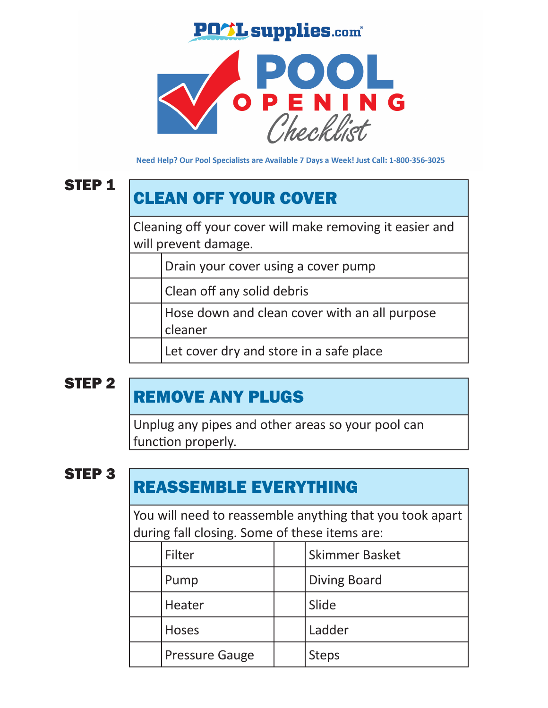### **PO L supplies.com**\*



Need Help? Our Pool Specialists are Available 7 Days a Week! Just Call: 1-800-356-3025

### STEP 1

# CLEAN OFF YOUR COVER

Cleaning off your cover will make removing it easier and will prevent damage.

Drain your cover using a cover pump

Clean off any solid debris

Hose down and clean cover with an all purpose cleaner

Let cover dry and store in a safe place

### STEP 2

## REMOVE ANY PLUGS

Unplug any pipes and other areas so your pool can function properly.

### STEP 3

## REASSEMBLE EVERYTHING

You will need to reassemble anything that you took apart during fall closing. Some of these items are:

| Filter                | <b>Skimmer Basket</b> |
|-----------------------|-----------------------|
| Pump                  | <b>Diving Board</b>   |
| Heater                | Slide                 |
| <b>Hoses</b>          | Ladder                |
| <b>Pressure Gauge</b> | <b>Steps</b>          |